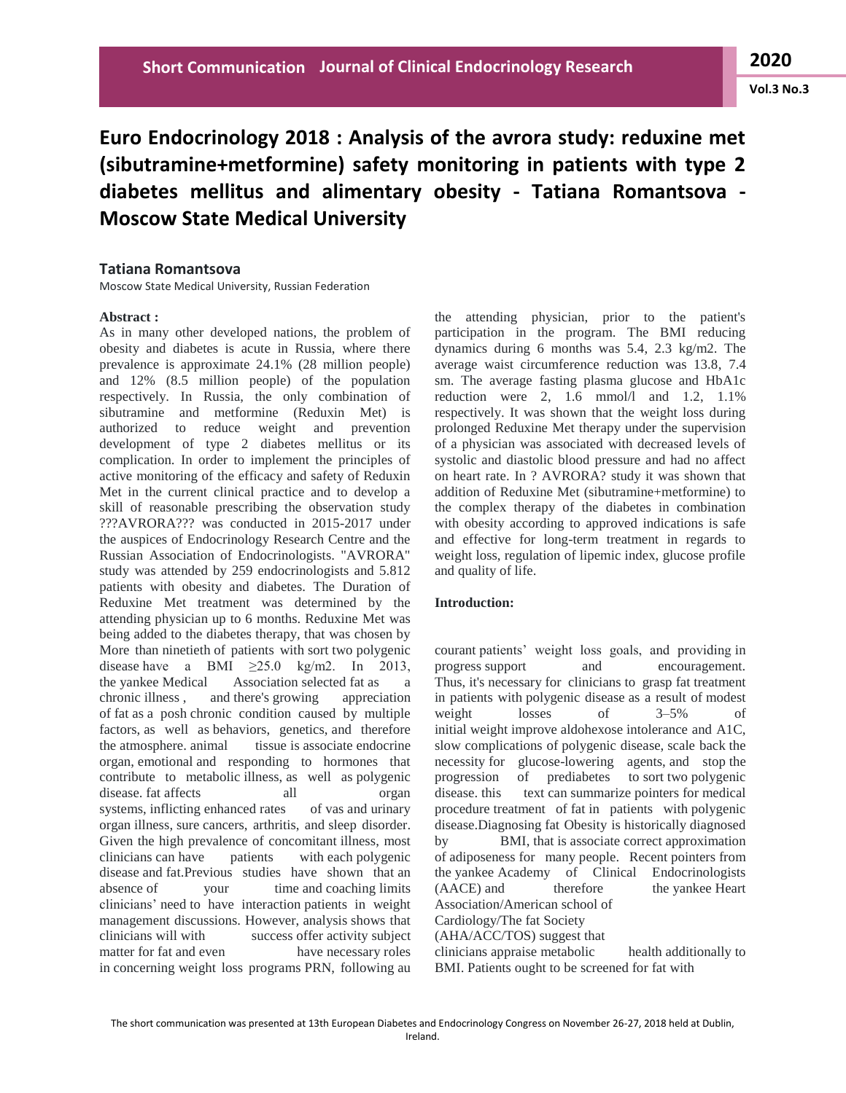# **Vol.3 No.3**

# **Euro Endocrinology 2018 : Analysis of the avrora study: reduxine met (sibutramine+metformine) safety monitoring in patients with type 2 diabetes mellitus and alimentary obesity - Tatiana Romantsova - Moscow State Medical University**

# **Tatiana Romantsova**

Moscow State Medical University, Russian Federation

## **Abstract :**

As in many other developed nations, the problem of obesity and diabetes is acute in Russia, where there prevalence is approximate 24.1% (28 million people) and 12% (8.5 million people) of the population respectively. In Russia, the only combination of sibutramine and metformine (Reduxin Met) is authorized to reduce weight and prevention development of type 2 diabetes mellitus or its complication. In order to implement the principles of active monitoring of the efficacy and safety of Reduxin Met in the current clinical practice and to develop a skill of reasonable prescribing the observation study ???AVRORA??? was conducted in 2015-2017 under the auspices of Endocrinology Research Centre and the Russian Association of Endocrinologists. "AVRORA" study was attended by 259 endocrinologists and 5.812 patients with obesity and diabetes. The Duration of Reduxine Met treatment was determined by the attending physician up to 6 months. Reduxine Met was being added to the diabetes therapy, that was chosen by More than ninetieth of patients with sort two polygenic disease have a BMI  $\geq 25.0$  kg/m2. In 2013, the yankee Medical Association selected fat as a chronic illness , and there's growing appreciation of fat as a posh chronic condition caused by multiple factors, as well as behaviors, genetics, and therefore the atmosphere. animal tissue is associate endocrine organ, emotional and responding to hormones that contribute to metabolic illness, as well as polygenic disease. fat affects all organ systems, inflicting enhanced rates of vas and urinary organ illness, sure cancers, arthritis, and sleep disorder. Given the high prevalence of concomitant illness, most clinicians can have patients with each polygenic disease and fat.Previous studies have shown that an absence of your time and coaching limits clinicians' need to have interaction patients in weight management discussions. However, analysis shows that clinicians will with success offer activity subject matter for fat and even have necessary roles in concerning weight loss programs PRN, following au

the attending physician, prior to the patient's participation in the program. The BMI reducing dynamics during 6 months was 5.4, 2.3 kg/m2. The average waist circumference reduction was 13.8, 7.4 sm. The average fasting plasma glucose and HbA1c reduction were 2, 1.6 mmol/l and  $1.2$ ,  $1.1\%$ respectively. It was shown that the weight loss during prolonged Reduxine Met therapy under the supervision of a physician was associated with decreased levels of systolic and diastolic blood pressure and had no affect on heart rate. In ? AVRORA? study it was shown that addition of Reduxine Met (sibutramine+metformine) to the complex therapy of the diabetes in combination with obesity according to approved indications is safe and effective for long-term treatment in regards to weight loss, regulation of lipemic index, glucose profile and quality of life.

# **Introduction:**

courant patients' weight loss goals, and providing in progress support and encouragement. Thus, it's necessary for clinicians to grasp fat treatment in patients with polygenic disease as a result of modest weight losses of 3–5% of initial weight improve aldohexose intolerance and A1C, slow complications of polygenic disease, scale back the necessity for glucose-lowering agents, and stop the progression of prediabetes to sort two polygenic disease. this text can summarize pointers for medical procedure treatment of fat in patients with polygenic disease.Diagnosing fat Obesity is historically diagnosed by BMI, that is associate correct approximation of adiposeness for many people. Recent pointers from the yankee Academy of Clinical Endocrinologists (AACE) and therefore the yankee Heart Association/American school of Cardiology/The fat Society (AHA/ACC/TOS) suggest that clinicians appraise metabolic health additionally to BMI. Patients ought to be screened for fat with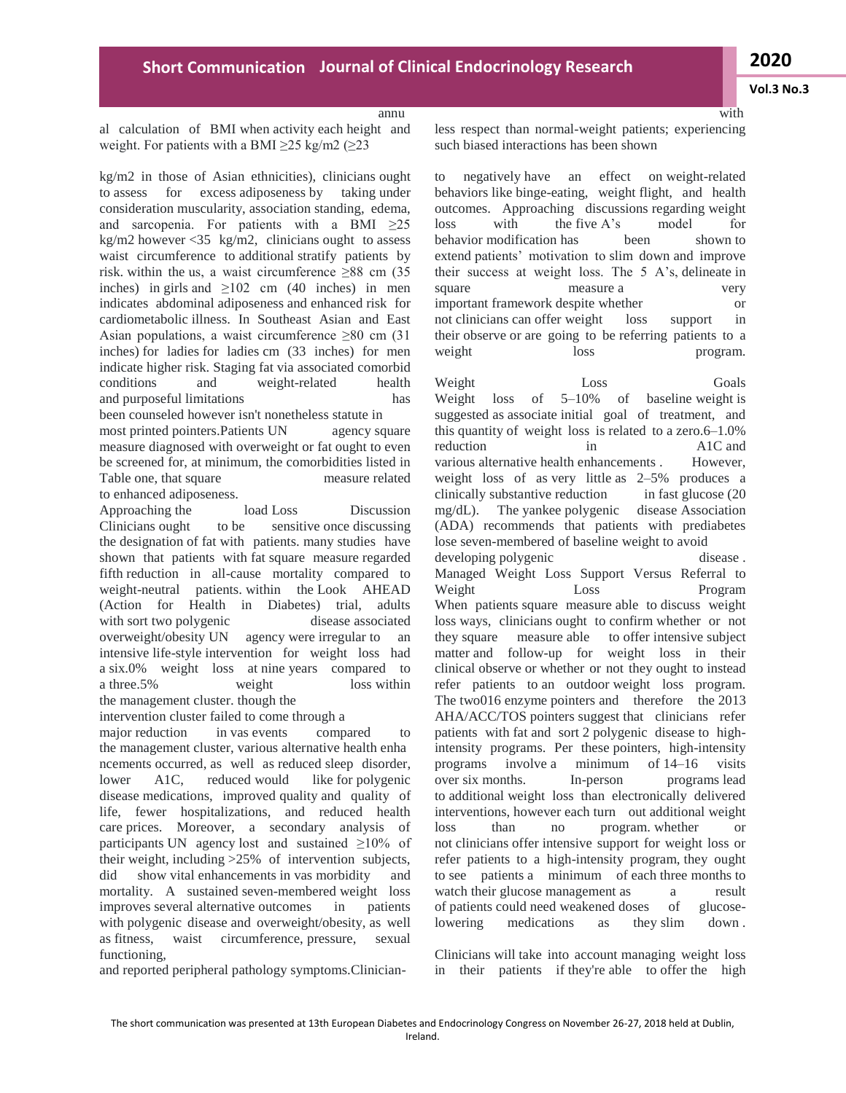**Vol.3 No.3**

with

#### annu

al calculation of BMI when activity each height and weight. For patients with a BMI  $\geq$ 25 kg/m2 ( $\geq$ 23

kg/m2 in those of Asian ethnicities), clinicians ought to assess for excess adiposeness by taking under consideration muscularity, association standing, edema, and sarcopenia. For patients with a BMI  $\geq 25$ kg/m2 however <35 kg/m2, clinicians ought to assess waist circumference to additional stratify patients by risk. within the us, a waist circumference  $\geq 88$  cm (35) inches) in girls and  $\geq 102$  cm (40 inches) in men indicates abdominal adiposeness and enhanced risk for cardiometabolic illness. In Southeast Asian and East Asian populations, a waist circumference  $\geq 80$  cm (31) inches) for ladies for ladies cm (33 inches) for men indicate higher risk. Staging fat via associated comorbid conditions and weight-related health and purposeful limitations has been counseled however isn't nonetheless statute in most printed pointers.Patients UN agency square measure diagnosed with overweight or fat ought to even be screened for, at minimum, the comorbidities listed in Table one, that square measure related

to enhanced adiposeness.

Approaching the load Loss Discussion Clinicians ought to be sensitive once discussing the designation of fat with patients. many studies have shown that patients with fat square measure regarded fifth reduction in all-cause mortality compared to weight-neutral patients. within the Look AHEAD (Action for Health in Diabetes) trial, adults with sort two polygenic disease associated overweight/obesity UN agency were irregular to an intensive life-style intervention for weight loss had a six.0% weight loss at nine years compared to a three.5% weight loss within the management cluster. though the

intervention cluster failed to come through a

major reduction in vas events compared to the management cluster, various alternative health enha ncements occurred, as well as reduced sleep disorder, lower A1C, reduced would like for polygenic disease medications, improved quality and quality of life, fewer hospitalizations, and reduced health care prices. Moreover, a secondary analysis of participants UN agency lost and sustained ≥10% of their weight, including >25% of intervention subjects, did show vital enhancements in vas morbidity and mortality. A sustained seven-membered weight loss improves several alternative outcomes in patients with polygenic disease and overweight/obesity, as well as fitness, waist circumference, pressure, sexual functioning,

and reported peripheral pathology symptoms.Clinician-

less respect than normal-weight patients; experiencing such biased interactions has been shown

to negatively have an effect on weight-related behaviors like binge-eating, weight flight, and health outcomes. Approaching discussions regarding weight loss with the five A's model for behavior modification has been shown to extend patients' motivation to slim down and improve their success at weight loss. The 5 A's, delineate in square measure a very important framework despite whether or not clinicians can offer weight loss support in their observe or are going to be referring patients to a weight loss program.

Weight Loss Goals Weight loss of 5–10% of baseline weight is suggested as associate initial goal of treatment, and this quantity of weight loss is related to a zero.6–1.0% reduction in A1C and various alternative health enhancements . However, weight loss of as very little as 2–5% produces a clinically substantive reduction in fast glucose (20 mg/dL). The yankee polygenic disease Association (ADA) recommends that patients with prediabetes lose seven-membered of baseline weight to avoid developing polygenic disease . Managed Weight Loss Support Versus Referral to Weight Loss Program When patients square measure able to discuss weight loss ways, clinicians ought to confirm whether or not they square measure able to offer intensive subject matter and follow-up for weight loss in their clinical observe or whether or not they ought to instead refer patients to an outdoor weight loss program. The two016 enzyme pointers and therefore the 2013 AHA/ACC/TOS pointers suggest that clinicians refer patients with fat and sort 2 polygenic disease to highintensity programs. Per these pointers, high-intensity programs involve a minimum of 14–16 visits over six months. In-person programs lead to additional weight loss than electronically delivered interventions, however each turn out additional weight loss than no program. whether or not clinicians offer intensive support for weight loss or refer patients to a high-intensity program, they ought to see patients a minimum of each three months to watch their glucose management as  $\qquad a$  result of patients could need weakened doses of glucoselowering medications as they slim down .

Clinicians will take into account managing weight loss in their patients if they're able to offer the high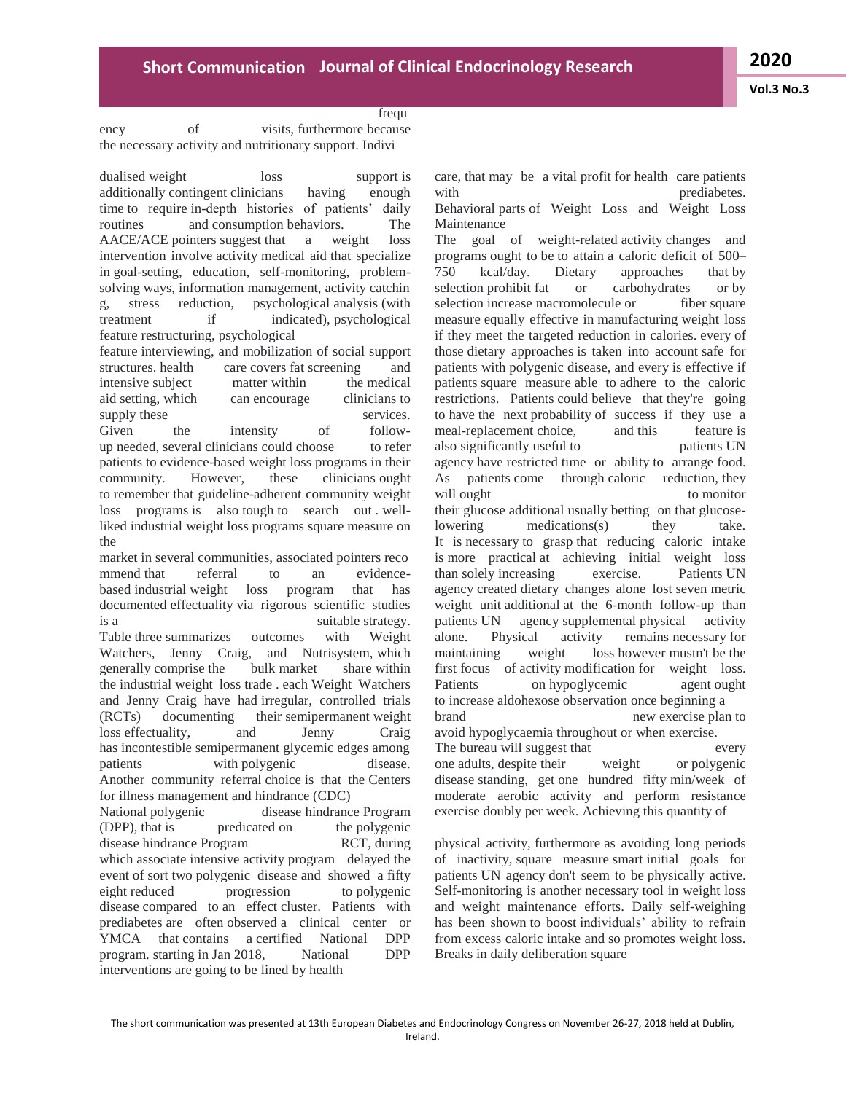#### frequ

ency of visits, furthermore because the necessary activity and nutritionary support. Indivi

dualised weight loss support is additionally contingent clinicians having enough time to require in-depth histories of patients' daily routines and consumption behaviors. The AACE/ACE pointers suggest that a weight loss intervention involve activity medical aid that specialize in goal-setting, education, self-monitoring, problemsolving ways, information management, activity catchin g, stress reduction, psychological analysis (with treatment if indicated), psychological feature restructuring, psychological feature interviewing, and mobilization of social support

structures. health care covers fat screening and intensive subject matter within the medical aid setting, which can encourage clinicians to supply these services. Given the intensity of followup needed, several clinicians could choose to refer patients to evidence-based weight loss programs in their community. However, these clinicians ought to remember that guideline-adherent community weight loss programs is also tough to search out . wellliked industrial weight loss programs square measure on the

market in several communities, associated pointers reco mmend that referral to an evidencebased industrial weight loss program that has documented effectuality via rigorous scientific studies is a suitable strategy. Table three summarizes outcomes with Weight Watchers, Jenny Craig, and Nutrisystem, which generally comprise the bulk market share within the industrial weight loss trade . each Weight Watchers and Jenny Craig have had irregular, controlled trials (RCTs) documenting their semipermanent weight loss effectuality, and Jenny Craig has incontestible semipermanent glycemic edges among patients with polygenic disease. Another community referral choice is that the Centers for illness management and hindrance (CDC) National polygenic disease hindrance Program (DPP), that is predicated on the polygenic disease hindrance Program RCT, during

which associate intensive activity program delayed the event of sort two polygenic disease and showed a fifty eight reduced progression to polygenic disease compared to an effect cluster. Patients with prediabetes are often observed a clinical center or YMCA that contains a certified National DPP program. starting in Jan 2018, National DPP interventions are going to be lined by health

care, that may be a vital profit for health care patients with prediabetes.

Behavioral parts of Weight Loss and Weight Loss Maintenance

The goal of weight-related activity changes and programs ought to be to attain a caloric deficit of 500– 750 kcal/day. Dietary approaches that by selection prohibit fat or carbohydrates or by selection increase macromolecule or fiber square measure equally effective in manufacturing weight loss if they meet the targeted reduction in calories. every of those dietary approaches is taken into account safe for patients with polygenic disease, and every is effective if patients square measure able to adhere to the caloric restrictions. Patients could believe that they're going to have the next probability of success if they use a meal-replacement choice, and this feature is also significantly useful to patients UN agency have restricted time or ability to arrange food. As patients come through caloric reduction, they will ought to monitor their glucose additional usually betting on that glucoselowering medications(s) they take. It is necessary to grasp that reducing caloric intake is more practical at achieving initial weight loss than solely increasing exercise. Patients UN agency created dietary changes alone lost seven metric weight unit additional at the 6-month follow-up than patients UN agency supplemental physical activity alone. Physical activity remains necessary for maintaining weight loss however mustn't be the first focus of activity modification for weight loss. Patients on hypoglycemic agent ought to increase aldohexose observation once beginning a brand here is new exercise plan to avoid hypoglycaemia throughout or when exercise. The bureau will suggest that every one adults, despite their weight or polygenic disease standing, get one hundred fifty min/week of moderate aerobic activity and perform resistance exercise doubly per week. Achieving this quantity of

physical activity, furthermore as avoiding long periods of inactivity, square measure smart initial goals for patients UN agency don't seem to be physically active. Self-monitoring is another necessary tool in weight loss and weight maintenance efforts. Daily self-weighing has been shown to boost individuals' ability to refrain from excess caloric intake and so promotes weight loss. Breaks in daily deliberation square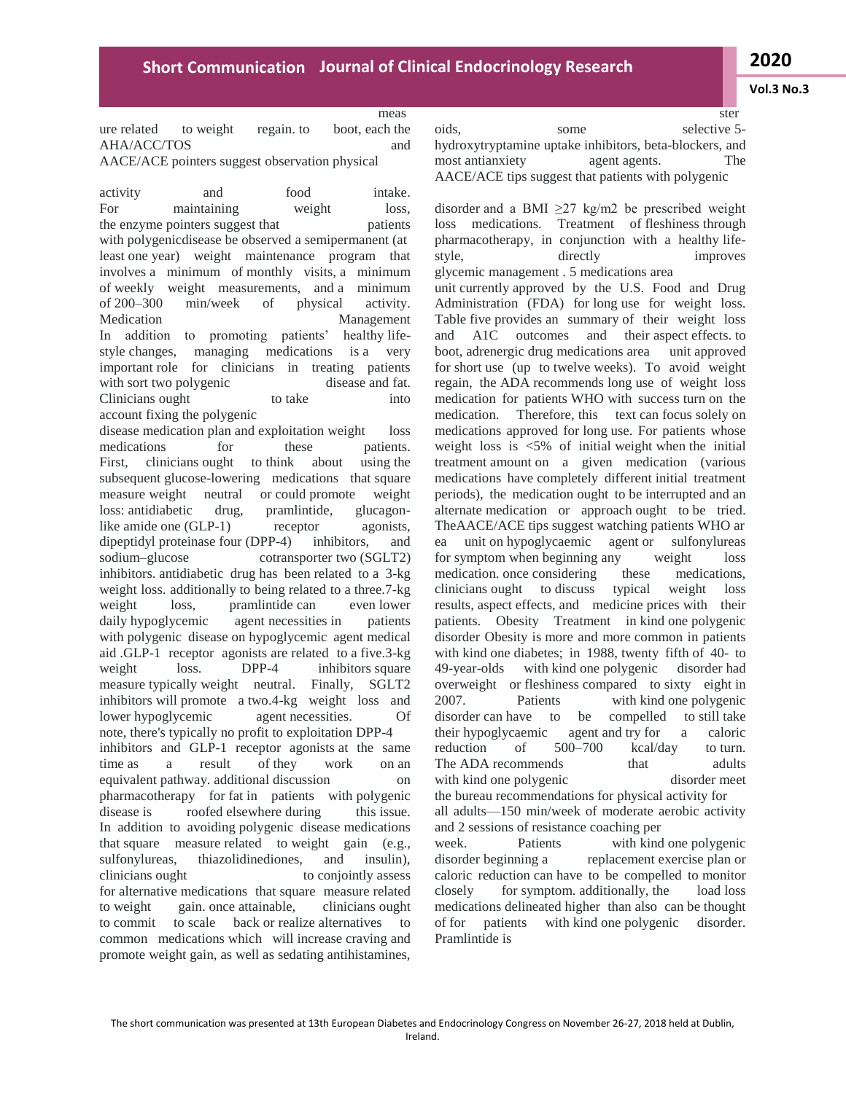**Vol.3 No.3**

meas

ure related to weight regain. to boot, each the AHA/ACC/TOS and AACE/ACE pointers suggest observation physical

activity and food intake. For maintaining weight loss, the enzyme pointers suggest that patients with polygenicdisease be observed a semipermanent (at least one year) weight maintenance program that involves a minimum of monthly visits, a minimum of weekly weight measurements, and a minimum of 200–300 min/week of physical activity. Medication Management In addition to promoting patients' healthy lifestyle changes, managing medications is a very important role for clinicians in treating patients with sort two polygenic disease and fat. Clinicians ought to take into account fixing the polygenic

disease medication plan and exploitation weight loss medications for these patients. First, clinicians ought to think about using the subsequent glucose-lowering medications that square measure weight neutral or could promote weight loss: antidiabetic drug, pramlintide, glucagonlike amide one (GLP-1) receptor agonists, dipeptidyl proteinase four (DPP-4) inhibitors, and sodium–glucose cotransporter two (SGLT2) inhibitors. antidiabetic drug has been related to a 3-kg weight loss. additionally to being related to a three.7-kg weight loss, pramlintide can even lower daily hypoglycemic agent necessities in patients with polygenic disease on hypoglycemic agent medical aid .GLP-1 receptor agonists are related to a five.3-kg weight loss. DPP-4 inhibitors square measure typically weight neutral. Finally, SGLT2 inhibitors will promote a two.4-kg weight loss and lower hypoglycemic agent necessities. Of note, there's typically no profit to exploitation DPP-4 inhibitors and GLP-1 receptor agonists at the same time as a result of they work on an equivalent pathway. additional discussion on pharmacotherapy for fat in patients with polygenic disease is roofed elsewhere during this issue. In addition to avoiding polygenic disease medications that square measure related to weight gain (e.g., sulfonylureas, thiazolidinediones, and insulin), clinicians ought to conjointly assess for alternative medications that square measure related to weight gain. once attainable, clinicians ought to commit to scale back or realize alternatives to common medications which will increase craving and promote weight gain, as well as sedating antihistamines,

ster oids, some selective 5hydroxytryptamine uptake inhibitors, beta-blockers, and most antianxiety agent agents. The AACE/ACE tips suggest that patients with polygenic

disorder and a BMI  $\geq$ 27 kg/m2 be prescribed weight loss medications. Treatment of fleshiness through pharmacotherapy, in conjunction with a healthy lifestyle, directly improves glycemic management . 5 medications area unit currently approved by the U.S. Food and Drug

Administration (FDA) for long use for weight loss. Table five provides an summary of their weight loss and A1C outcomes and their aspect effects. to boot, adrenergic drug medications area unit approved for short use (up to twelve weeks). To avoid weight regain, the ADA recommends long use of weight loss medication for patients WHO with success turn on the medication. Therefore, this text can focus solely on medications approved for long use. For patients whose weight loss is <5% of initial weight when the initial treatment amount on a given medication (various medications have completely different initial treatment periods), the medication ought to be interrupted and an alternate medication or approach ought to be tried. TheAACE/ACE tips suggest watching patients WHO ar ea unit on hypoglycaemic agent or sulfonylureas for symptom when beginning any weight loss medication. once considering these medications, clinicians ought to discuss typical weight loss results, aspect effects, and medicine prices with their patients. Obesity Treatment in kind one polygenic disorder Obesity is more and more common in patients with kind one diabetes; in 1988, twenty fifth of 40- to 49-year-olds with kind one polygenic disorder had overweight or fleshiness compared to sixty eight in 2007. Patients with kind one polygenic disorder can have to be compelled to still take their hypoglycaemic agent and try for a caloric reduction of 500–700 kcal/day to turn. The ADA recommends that adults with kind one polygenic disorder meet the bureau recommendations for physical activity for all adults—150 min/week of moderate aerobic activity and 2 sessions of resistance coaching per

week. Patients with kind one polygenic disorder beginning a replacement exercise plan or caloric reduction can have to be compelled to monitor closely for symptom. additionally, the load loss medications delineated higher than also can be thought of for patients with kind one polygenic disorder. Pramlintide is